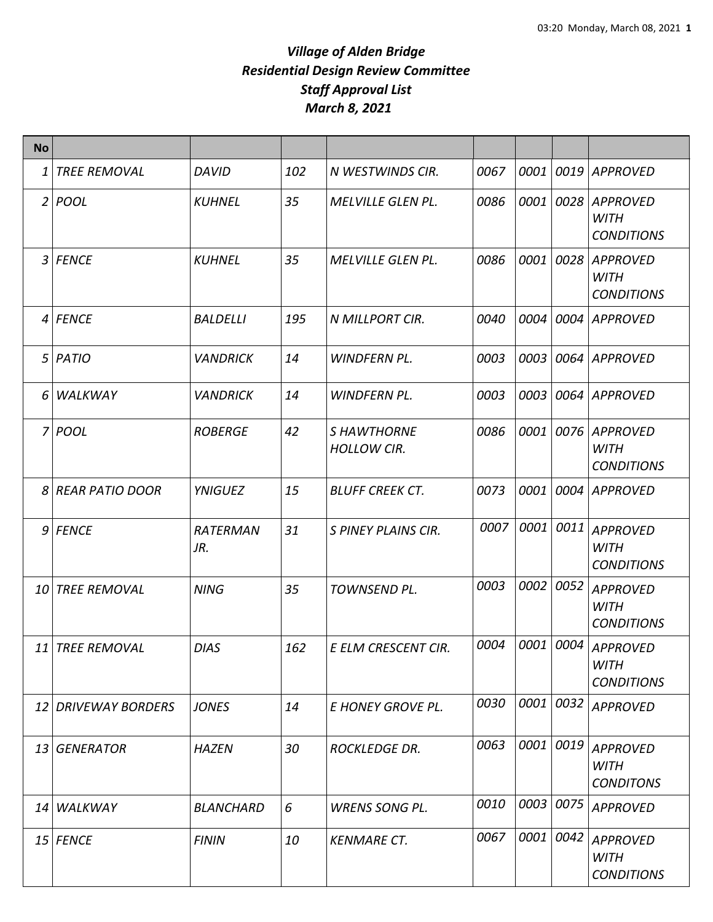| <b>No</b>      |                     |                  |     |                                   |      |      |             |                                                     |
|----------------|---------------------|------------------|-----|-----------------------------------|------|------|-------------|-----------------------------------------------------|
| 1              | <b>TREE REMOVAL</b> | <b>DAVID</b>     | 102 | N WESTWINDS CIR.                  | 0067 | 0001 |             | 0019 APPROVED                                       |
| 2              | <b>POOL</b>         | <b>KUHNEL</b>    | 35  | <b>MELVILLE GLEN PL.</b>          | 0086 | 0001 | 0028        | <b>APPROVED</b><br><b>WITH</b><br><b>CONDITIONS</b> |
|                | 3 FENCE             | <b>KUHNEL</b>    | 35  | <b>MELVILLE GLEN PL.</b>          | 0086 | 0001 |             | 0028 APPROVED<br><b>WITH</b><br><b>CONDITIONS</b>   |
| $\vert$        | <b>FENCE</b>        | <b>BALDELLI</b>  | 195 | N MILLPORT CIR.                   | 0040 | 0004 | <i>0004</i> | APPROVED                                            |
| 5 <sup>1</sup> | PATIO               | <b>VANDRICK</b>  | 14  | <b>WINDFERN PL.</b>               | 0003 | 0003 |             | 0064 APPROVED                                       |
| 6              | WALKWAY             | <b>VANDRICK</b>  | 14  | <b>WINDFERN PL.</b>               | 0003 | 0003 |             | 0064 APPROVED                                       |
| 7              | <b>POOL</b>         | <b>ROBERGE</b>   | 42  | S HAWTHORNE<br><b>HOLLOW CIR.</b> | 0086 | 0001 |             | 0076 APPROVED<br><b>WITH</b><br><b>CONDITIONS</b>   |
| $\mathcal{S}$  | REAR PATIO DOOR     | <b>YNIGUEZ</b>   | 15  | <b>BLUFF CREEK CT.</b>            | 0073 | 0001 |             | 0004 APPROVED                                       |
|                | 9 FENCE             | RATERMAN<br>JR.  | 31  | S PINEY PLAINS CIR.               | 0007 | 0001 | 0011        | <b>APPROVED</b><br><b>WITH</b><br><b>CONDITIONS</b> |
| 10             | <b>TREE REMOVAL</b> | <b>NING</b>      | 35  | TOWNSEND PL.                      | 0003 | 0002 | 0052        | <b>APPROVED</b><br><b>WITH</b><br><b>CONDITIONS</b> |
| 11             | <b>TREE REMOVAL</b> | <b>DIAS</b>      | 162 | E ELM CRESCENT CIR.               | 0004 | 0001 | 0004        | <b>APPROVED</b><br><b>WITH</b><br><b>CONDITIONS</b> |
|                | 12 DRIVEWAY BORDERS | <b>JONES</b>     | 14  | E HONEY GROVE PL.                 | 0030 | 0001 | 0032        | <b>APPROVED</b>                                     |
| 13             | <b>GENERATOR</b>    | <b>HAZEN</b>     | 30  | <b>ROCKLEDGE DR.</b>              | 0063 | 0001 | 0019        | <b>APPROVED</b><br><b>WITH</b><br><b>CONDITONS</b>  |
| 14             | <b>WALKWAY</b>      | <b>BLANCHARD</b> | 6   | <b>WRENS SONG PL.</b>             | 0010 | 0003 | 0075        | <b>APPROVED</b>                                     |
|                | $15$ FENCE          | <b>FININ</b>     | 10  | <b>KENMARE CT.</b>                | 0067 | 0001 | 0042        | <b>APPROVED</b><br><b>WITH</b><br><b>CONDITIONS</b> |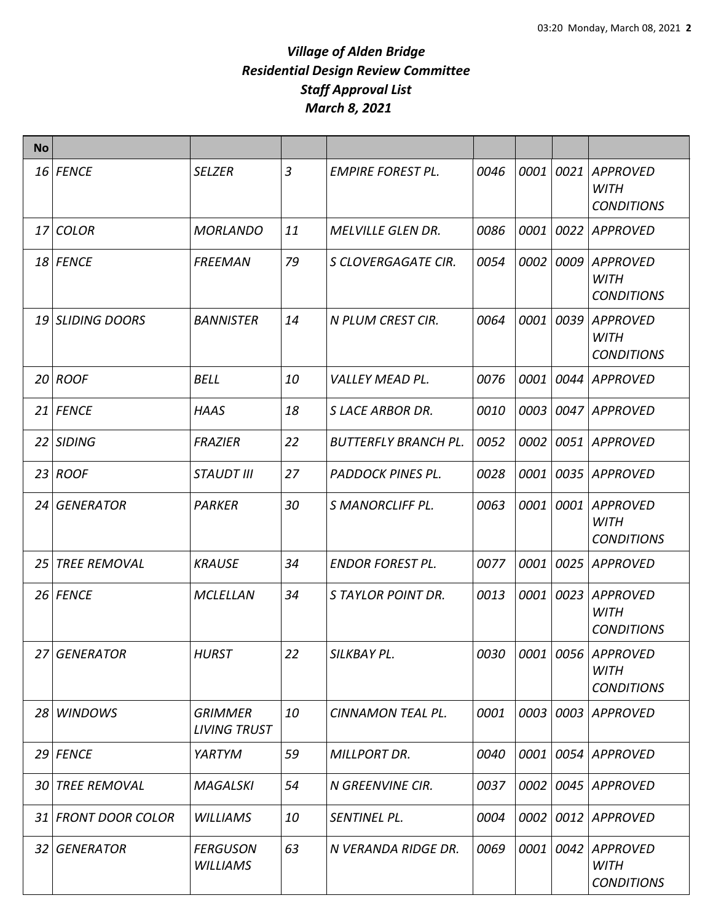| <b>No</b> |                     |                                       |    |                             |      |      |      |                                                     |
|-----------|---------------------|---------------------------------------|----|-----------------------------|------|------|------|-----------------------------------------------------|
|           | 16 FENCE            | <b>SELZER</b>                         | 3  | <b>EMPIRE FOREST PL.</b>    | 0046 | 0001 | 0021 | <b>APPROVED</b><br><b>WITH</b><br><b>CONDITIONS</b> |
|           | 17 COLOR            | <b>MORLANDO</b>                       | 11 | <b>MELVILLE GLEN DR.</b>    | 0086 | 0001 | 0022 | <b>APPROVED</b>                                     |
|           | 18 FENCE            | <b>FREEMAN</b>                        | 79 | S CLOVERGAGATE CIR.         | 0054 | 0002 | 0009 | <b>APPROVED</b><br><b>WITH</b><br><b>CONDITIONS</b> |
|           | 19 SLIDING DOORS    | <b>BANNISTER</b>                      | 14 | N PLUM CREST CIR.           | 0064 | 0001 | 0039 | <b>APPROVED</b><br><b>WITH</b><br><b>CONDITIONS</b> |
|           | $20$ ROOF           | <b>BELL</b>                           | 10 | <b>VALLEY MEAD PL.</b>      | 0076 | 0001 | 0044 | <b>APPROVED</b>                                     |
|           | 21 FENCE            | <b>HAAS</b>                           | 18 | <b>SLACE ARBOR DR.</b>      | 0010 | 0003 |      | 0047 APPROVED                                       |
|           | 22 SIDING           | <b>FRAZIER</b>                        | 22 | <b>BUTTERFLY BRANCH PL.</b> | 0052 | 0002 |      | 0051 APPROVED                                       |
|           | $23$ ROOF           | <b>STAUDT III</b>                     | 27 | <b>PADDOCK PINES PL.</b>    | 0028 | 0001 | 0035 | <b>APPROVED</b>                                     |
|           | 24 GENERATOR        | <b>PARKER</b>                         | 30 | <b>S MANORCLIFF PL.</b>     | 0063 | 0001 |      | 0001 APPROVED<br><b>WITH</b><br><b>CONDITIONS</b>   |
| 25        | <b>TREE REMOVAL</b> | <b>KRAUSE</b>                         | 34 | <b>ENDOR FOREST PL.</b>     | 0077 | 0001 | 0025 | <b>APPROVED</b>                                     |
|           | 26 FENCE            | <b>MCLELLAN</b>                       | 34 | <b>STAYLOR POINT DR.</b>    | 0013 | 0001 | 0023 | <b>APPROVED</b><br><b>WITH</b><br><b>CONDITIONS</b> |
|           | 27 GENERATOR        | <b>HURST</b>                          | 22 | SILKBAY PL.                 | 0030 | 0001 |      | 0056 APPROVED<br><b>WITH</b><br><b>CONDITIONS</b>   |
|           | 28 WINDOWS          | <b>GRIMMER</b><br><b>LIVING TRUST</b> | 10 | <b>CINNAMON TEAL PL.</b>    | 0001 | 0003 |      | 0003 APPROVED                                       |
|           | 29 FENCE            | YARTYM                                | 59 | <b>MILLPORT DR.</b>         | 0040 | 0001 |      | 0054 APPROVED                                       |
|           | 30 TREE REMOVAL     | <b>MAGALSKI</b>                       | 54 | N GREENVINE CIR.            | 0037 | 0002 |      | 0045 APPROVED                                       |
|           | 31 FRONT DOOR COLOR | <b>WILLIAMS</b>                       | 10 | SENTINEL PL.                | 0004 | 0002 | 0012 | <b>APPROVED</b>                                     |
|           | 32 GENERATOR        | <b>FERGUSON</b><br><b>WILLIAMS</b>    | 63 | N VERANDA RIDGE DR.         | 0069 | 0001 |      | 0042 APPROVED<br><b>WITH</b><br><b>CONDITIONS</b>   |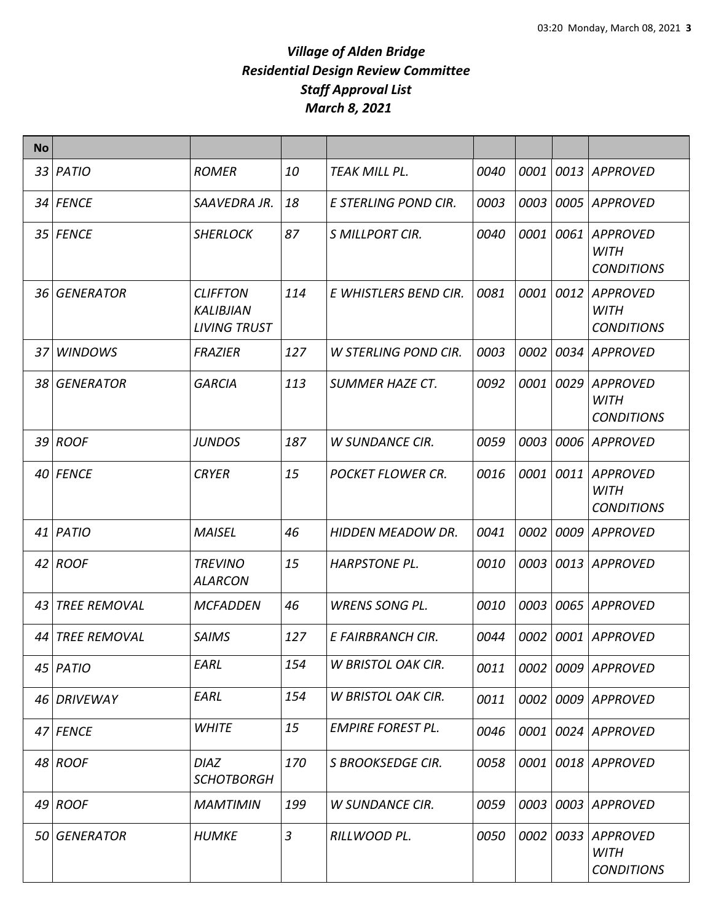| <b>No</b> |                     |                                                     |                |                             |      |             |      |                                                     |
|-----------|---------------------|-----------------------------------------------------|----------------|-----------------------------|------|-------------|------|-----------------------------------------------------|
|           | $33$ PATIO          | <b>ROMER</b>                                        | 10             | <b>TEAK MILL PL.</b>        | 0040 | <i>0001</i> |      | 0013 APPROVED                                       |
|           | 34 FENCE            | SAAVEDRA JR.                                        | 18             | E STERLING POND CIR.        | 0003 | 0003        |      | 0005 APPROVED                                       |
|           | 35 FENCE            | <b>SHERLOCK</b>                                     | 87             | S MILLPORT CIR.             | 0040 | 0001        | 0061 | <b>APPROVED</b><br><b>WITH</b><br><b>CONDITIONS</b> |
|           | 36 GENERATOR        | <b>CLIFFTON</b><br>KALIBJIAN<br><b>LIVING TRUST</b> | 114            | E WHISTLERS BEND CIR.       | 0081 | 0001        | 0012 | <b>APPROVED</b><br><b>WITH</b><br><b>CONDITIONS</b> |
|           | 37 WINDOWS          | <b>FRAZIER</b>                                      | 127            | <b>W STERLING POND CIR.</b> | 0003 | 0002        |      | 0034 APPROVED                                       |
|           | 38 GENERATOR        | <b>GARCIA</b>                                       | 113            | <b>SUMMER HAZE CT.</b>      | 0092 | 0001        | 0029 | <b>APPROVED</b><br>WITH<br><b>CONDITIONS</b>        |
|           | 39 ROOF             | <b>JUNDOS</b>                                       | 187            | <b>W SUNDANCE CIR.</b>      | 0059 | 0003        | 0006 | <b>APPROVED</b>                                     |
|           | 40 FENCE            | <b>CRYER</b>                                        | 15             | <b>POCKET FLOWER CR.</b>    | 0016 | 0001        | 0011 | <b>APPROVED</b><br><b>WITH</b><br><b>CONDITIONS</b> |
|           | $41$ PATIO          | <b>MAISEL</b>                                       | 46             | <b>HIDDEN MEADOW DR.</b>    | 0041 | 0002        | 0009 | APPROVED                                            |
|           | $42$ ROOF           | <b>TREVINO</b><br><b>ALARCON</b>                    | 15             | <b>HARPSTONE PL.</b>        | 0010 | 0003        |      | 0013 APPROVED                                       |
| 43        | <b>TREE REMOVAL</b> | <b>MCFADDEN</b>                                     | 46             | <b>WRENS SONG PL.</b>       | 0010 | 0003        | 0065 | <b>APPROVED</b>                                     |
|           | 44 TREE REMOVAL     | <b>SAIMS</b>                                        | 127            | E FAIRBRANCH CIR.           | 0044 | 0002        |      | 0001 APPROVED                                       |
|           | $45$ PATIO          | EARL                                                | 154            | <b>W BRISTOL OAK CIR.</b>   | 0011 |             |      | 0002 0009 APPROVED                                  |
|           | 46 DRIVEWAY         | EARL                                                | 154            | <b>W BRISTOL OAK CIR.</b>   | 0011 | 0002        |      | 0009 APPROVED                                       |
|           | 47 FENCE            | <b>WHITE</b>                                        | 15             | <b>EMPIRE FOREST PL.</b>    | 0046 | 0001        |      | 0024 APPROVED                                       |
|           | 48 ROOF             | <b>DIAZ</b><br><b>SCHOTBORGH</b>                    | 170            | S BROOKSEDGE CIR.           | 0058 | 0001        |      | 0018 APPROVED                                       |
|           | 49 ROOF             | <b>MAMTIMIN</b>                                     | 199            | <b>W SUNDANCE CIR.</b>      | 0059 | 0003        |      | 0003 APPROVED                                       |
|           | 50 GENERATOR        | <b>HUMKE</b>                                        | $\mathfrak{Z}$ | RILLWOOD PL.                | 0050 | 0002        | 0033 | <b>APPROVED</b><br><b>WITH</b><br><b>CONDITIONS</b> |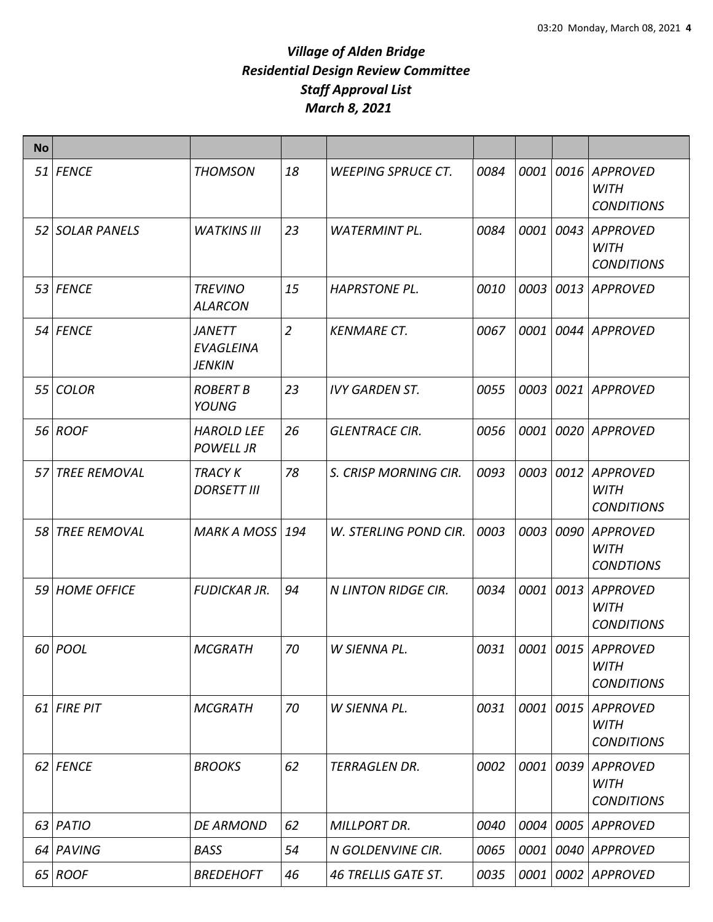| <b>No</b> |                     |                                             |                |                            |      |      |      |                                                     |
|-----------|---------------------|---------------------------------------------|----------------|----------------------------|------|------|------|-----------------------------------------------------|
|           | 51 FENCE            | <b>THOMSON</b>                              | 18             | <b>WEEPING SPRUCE CT.</b>  | 0084 | 0001 | 0016 | <b>APPROVED</b><br><b>WITH</b><br><b>CONDITIONS</b> |
|           | 52 SOLAR PANELS     | <b>WATKINS III</b>                          | 23             | <b>WATERMINT PL.</b>       | 0084 | 0001 | 0043 | <b>APPROVED</b><br><b>WITH</b><br><b>CONDITIONS</b> |
|           | 53 FENCE            | <b>TREVINO</b><br><b>ALARCON</b>            | 15             | <b>HAPRSTONE PL.</b>       | 0010 | 0003 | 0013 | <b>APPROVED</b>                                     |
|           | 54 FENCE            | <b>JANETT</b><br>EVAGLEINA<br><b>JENKIN</b> | $\overline{2}$ | <b>KENMARE CT.</b>         | 0067 | 0001 | 0044 | <b>APPROVED</b>                                     |
| 55        | <b>COLOR</b>        | <b>ROBERT B</b><br>YOUNG                    | 23             | <b>IVY GARDEN ST.</b>      | 0055 | 0003 | 0021 | <b>APPROVED</b>                                     |
|           | 56 ROOF             | <b>HAROLD LEE</b><br><b>POWELL JR</b>       | 26             | <b>GLENTRACE CIR.</b>      | 0056 | 0001 | 0020 | <b>APPROVED</b>                                     |
| 57        | <b>TREE REMOVAL</b> | <b>TRACY K</b><br><b>DORSETT III</b>        | 78             | S. CRISP MORNING CIR.      | 0093 | 0003 | 0012 | <b>APPROVED</b><br><b>WITH</b><br><b>CONDITIONS</b> |
| 58        | <b>TREE REMOVAL</b> | <b>MARK A MOSS</b>                          | 194            | W. STERLING POND CIR.      | 0003 | 0003 | 0090 | <b>APPROVED</b><br><b>WITH</b><br><b>CONDTIONS</b>  |
|           | 59 HOME OFFICE      | <b>FUDICKAR JR.</b>                         | 94             | <b>N LINTON RIDGE CIR.</b> | 0034 | 0001 | 0013 | <b>APPROVED</b><br><b>WITH</b><br><b>CONDITIONS</b> |
|           | 60 POOL             | <b>MCGRATH</b>                              | 70             | W SIENNA PL.               | 0031 | 0001 | 0015 | <b>APPROVED</b><br><b>WITH</b><br><b>CONDITIONS</b> |
|           | $61$ FIRE PIT       | <b>MCGRATH</b>                              | 70             | W SIENNA PL.               | 0031 | 0001 | 0015 | <b>APPROVED</b><br><b>WITH</b><br><b>CONDITIONS</b> |
|           | 62 FENCE            | <b>BROOKS</b>                               | 62             | <b>TERRAGLEN DR.</b>       | 0002 | 0001 | 0039 | <b>APPROVED</b><br><b>WITH</b><br><b>CONDITIONS</b> |
|           | 63 PATIO            | <b>DE ARMOND</b>                            | 62             | <b>MILLPORT DR.</b>        | 0040 | 0004 | 0005 | <b>APPROVED</b>                                     |
|           | 64 PAVING           | <b>BASS</b>                                 | 54             | N GOLDENVINE CIR.          | 0065 | 0001 | 0040 | <b>APPROVED</b>                                     |
|           | 65 ROOF             | <b>BREDEHOFT</b>                            | 46             | <b>46 TRELLIS GATE ST.</b> | 0035 | 0001 | 0002 | <b>APPROVED</b>                                     |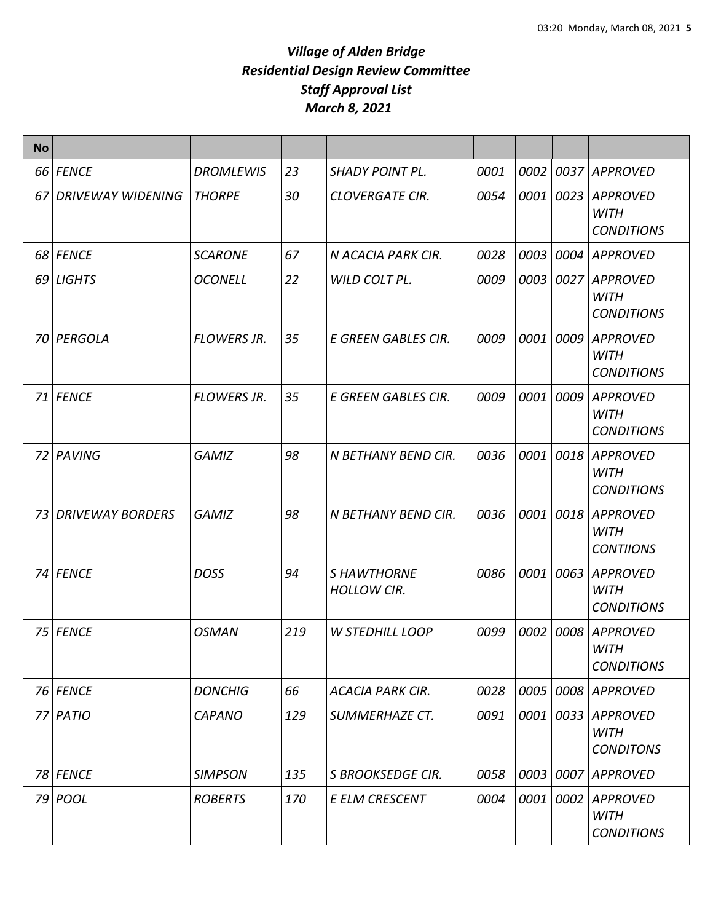| <b>No</b> |                          |                    |     |                                          |      |      |      |                                                     |
|-----------|--------------------------|--------------------|-----|------------------------------------------|------|------|------|-----------------------------------------------------|
|           | 66 FENCE                 | <b>DROMLEWIS</b>   | 23  | <b>SHADY POINT PL.</b>                   | 0001 | 0002 |      | 0037 APPROVED                                       |
| 67        | <b>DRIVEWAY WIDENING</b> | <b>THORPE</b>      | 30  | <b>CLOVERGATE CIR.</b>                   | 0054 | 0001 | 0023 | <b>APPROVED</b><br><b>WITH</b><br><b>CONDITIONS</b> |
|           | 68 FENCE                 | <b>SCARONE</b>     | 67  | N ACACIA PARK CIR.                       | 0028 | 0003 | 0004 | APPROVED                                            |
|           | 69 LIGHTS                | <b>OCONELL</b>     | 22  | WILD COLT PL.                            | 0009 | 0003 |      | 0027 APPROVED<br><b>WITH</b><br><b>CONDITIONS</b>   |
|           | 70 PERGOLA               | <b>FLOWERS JR.</b> | 35  | E GREEN GABLES CIR.                      | 0009 | 0001 | 0009 | <b>APPROVED</b><br><b>WITH</b><br><b>CONDITIONS</b> |
|           | 71 FENCE                 | <b>FLOWERS JR.</b> | 35  | E GREEN GABLES CIR.                      | 0009 | 0001 | 0009 | <b>APPROVED</b><br><b>WITH</b><br><b>CONDITIONS</b> |
|           | 72 PAVING                | <b>GAMIZ</b>       | 98  | N BETHANY BEND CIR.                      | 0036 | 0001 | 0018 | <b>APPROVED</b><br><b>WITH</b><br><b>CONDITIONS</b> |
| 73        | <b>DRIVEWAY BORDERS</b>  | <b>GAMIZ</b>       | 98  | N BETHANY BEND CIR.                      | 0036 | 0001 | 0018 | <b>APPROVED</b><br><b>WITH</b><br><b>CONTIIONS</b>  |
|           | 74 FENCE                 | <b>DOSS</b>        | 94  | <b>S HAWTHORNE</b><br><b>HOLLOW CIR.</b> | 0086 | 0001 | 0063 | APPROVED<br><b>WITH</b><br><b>CONDITIONS</b>        |
|           | 75 FENCE                 | <b>OSMAN</b>       | 219 | <b>W STEDHILL LOOP</b>                   | 0099 | 0002 | 0008 | <b>APPROVED</b><br><b>WITH</b><br><b>CONDITIONS</b> |
|           | 76 FENCE                 | <b>DONCHIG</b>     | 66  | <b>ACACIA PARK CIR.</b>                  | 0028 | 0005 |      | 0008 APPROVED                                       |
| 77        | PATIO                    | <b>CAPANO</b>      | 129 | SUMMERHAZE CT.                           | 0091 | 0001 | 0033 | <b>APPROVED</b><br><b>WITH</b><br><b>CONDITONS</b>  |
|           | 78 FENCE                 | <b>SIMPSON</b>     | 135 | <b>S BROOKSEDGE CIR.</b>                 | 0058 | 0003 |      | 0007 APPROVED                                       |
|           | 79 POOL                  | <b>ROBERTS</b>     | 170 | <b>E ELM CRESCENT</b>                    | 0004 | 0001 | 0002 | <b>APPROVED</b><br><b>WITH</b><br><b>CONDITIONS</b> |